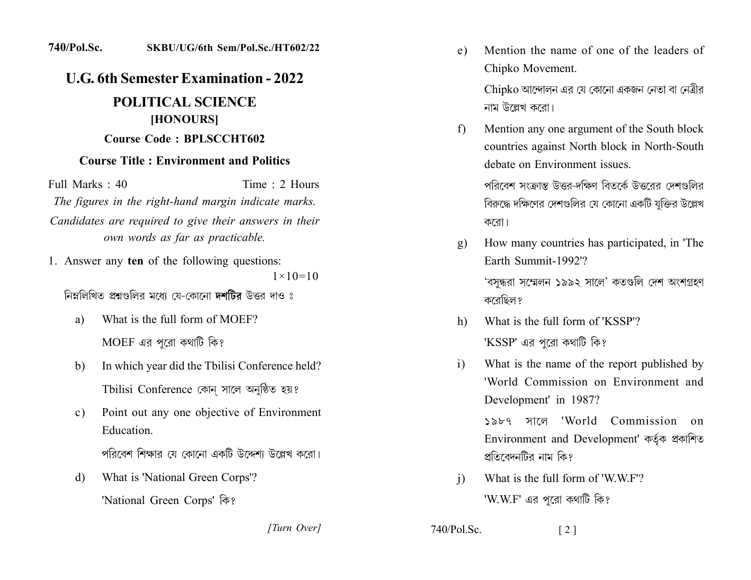## **740/Pol.Sc.** SKBU/UG/6th Sem/Pol.Sc./HT602/22

## **U.G. 6th Semester Examination - 2022**

## **POLITICAL SCIENCE** [HONOURS] Course Code: BPLSCCHT602

## **Course Title: Environment and Politics**

Full Marks : 40 Time : 2 Hours The figures in the right-hand margin indicate marks. Candidates are required to give their answers in their own words as far as practicable.

1. Answer any ten of the following questions:  $1 \times 10 = 10$ 

নিম্নলিখিত প্ৰশ্নগুলিব মধ্যে যে-কোনো **দশটিব** উত্তব দাও ঃ

- What is the full form of MOEF? a)  $MOEF$  এর পরো কথাটি কি?
- In which year did the Tbilisi Conference held? b) Tbilisi Conference কোন সালে অনুষ্ঠিত হয়?
- Point out any one objective of Environment  $c)$ Education.

পরিবেশ শিক্ষার যে কোনো একটি উদ্দেশ্য উল্লেখ করো।

What is 'National Green Corps'? d)

'National Green Corps' कि?

[Turn Over]

Mention the name of one of the leaders of  $e)$ Chipko Movement.

> Chipko আন্দোলন এর যে কোনো একজন নেতা বা নেত্রীর নাম উল্লেখ করো।

Mention any one argument of the South block  $f$ countries against North block in North-South debate on Environment issues

> পরিবেশ সংক্রান্ত উত্তর-দক্ষিণ বিতর্কে উত্তরের দেশগুলির বিরুদ্ধে দক্ষিণের দেশগুলির যে কোনো একটি যুক্তির উল্লেখ করো।

How many countries has participated, in 'The  $g)$ Earth Summit-1992'?

'বসন্ধরা সম্মেলন ১৯৯২ সালে' কতগুলি দেশ অংশগ্রহণ করেছিল ?

- What is the full form of 'KSSP'? h) ' $KSSP'$  এর পরো কথাটি কি?
- What is the name of the report published by  $i)$ 'World Commission on Environment and Development' in 1987?

১৯৮৭ সালে 'World Commission  $\Omega$ Environment and Development' কৰ্তৃক প্ৰকাশিত প্রতিবেদনটির নাম কি?

What is the full form of 'WWF'?  $\overline{1}$ 'W.W.F' এর পরো কথাটি কি?

 $740/P<sub>o</sub>l$ . Sc.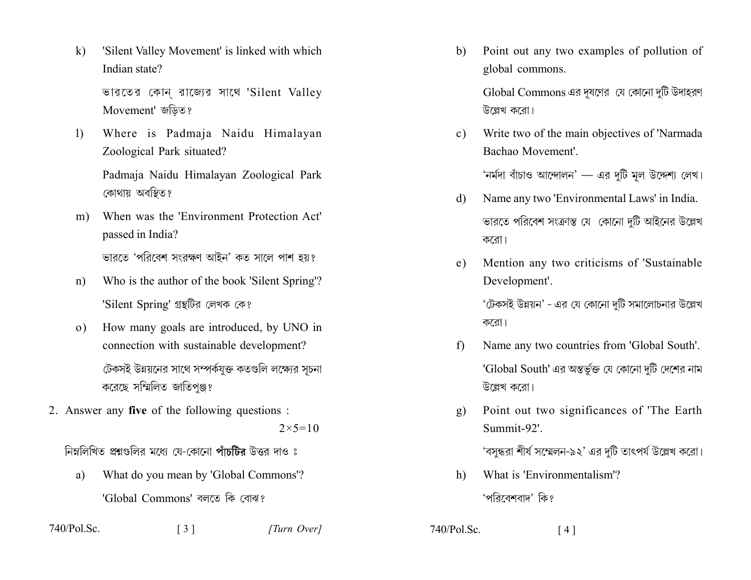'Silent Valley Movement' is linked with which  $\bf k$ Indian state?

> ভারতের কোন রাজ্যের সাথে 'Silent Valley Movement' জডিত?

Where is Padmaja Naidu Himalayan  $\mathbf{D}$ Zoological Park situated?

> Padmaja Naidu Himalayan Zoological Park কোথায় অবস্থিত?

When was the 'Environment Protection Act'  $m)$ passed in India?

ভারতে 'পরিবেশ সংরক্ষণ আইন' কত সালে পাশ হয়?

- Who is the author of the book 'Silent Spring'?  $n)$ 'Silent Spring' গ্রন্থটির লেখক কে?
- How many goals are introduced, by UNO in  $\Omega$ ) connection with sustainable development? টেকসই উন্নয়নের সাথে সম্পর্কযুক্ত কতগুলি লক্ষ্যের সূচনা করেছে সম্মিলিত জাতিপুঞ্জ?
- 2. Answer any five of the following questions :  $2 \times 5 = 10$

নিম্নলিখিত প্রশ্নগুলির মধ্যে যে-কোনো পাঁচটির উত্তর দাও ঃ

What do you mean by 'Global Commons'? a) 'Global Commons' বলতে কি বোঝ?

 $\lceil 3 \rceil$ 

740/Pol.Sc.

[Turn Over]

Point out any two examples of pollution of b) global commons.

> Global Commons এর দূষণের যে কোনো দুটি উদাহরণ উল্লেখ করো।

Write two of the main objectives of 'Narmada  $c)$ Bachao Movement'.

'নৰ্মদা বাঁচাও আন্দোলন' — এর দটি মল উদ্দেশ্য লেখ।

- Name any two 'Environmental Laws' in India.  $\mathbf{d}$ ভারতে পরিবেশ সংক্রান্ত যে কোনো দটি আইনের উল্লেখ করো।
- Mention any two criticisms of 'Sustainable  $e)$ Development'.

'টেকসই উন্নয়ন' - এর যে কোনো দটি সমালোচনার উল্লেখ করো।

- Name any two countries from 'Global South'. f) 'Global South' এর অন্তর্ভুক্ত যে কোনো দুটি দেশের নাম উল্লেখ করো।
- Point out two significances of 'The Earth g)  $Summit-92'$

'বসন্ধরা শীর্ষ সম্মেলন-৯২' এর দুটি তাৎপর্য উল্লেখ করো।

What is 'Environmentalism'?  $h)$ 

'পরিবেশবাদ' কি?

 $740/Pol.Sc.$  $[4]$